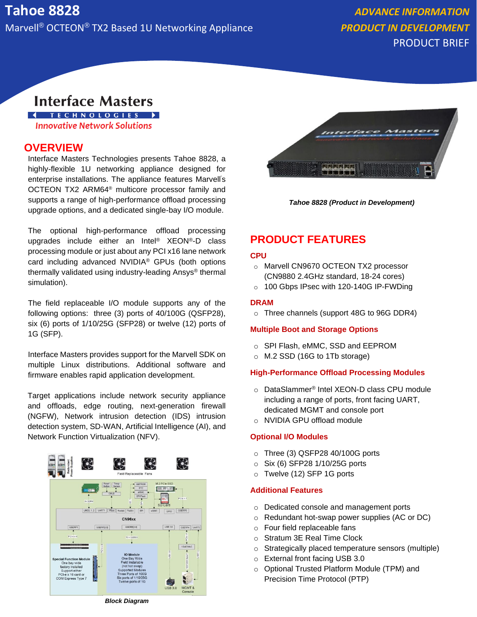PRODUCT BRIEF

# **Interface Masters**

**I** TECHNOLOGIES > **Innovative Network Solutions** 

## **OVERVIEW**

Interface Masters Technologies presents Tahoe 8828, a highly-flexible 1U networking appliance designed for enterprise installations. The appliance features Marvell's OCTEON TX2 ARM64® multicore processor family and supports a range of high-performance offload processing upgrade options, and a dedicated single-bay I/O module.

The optional high-performance offload processing upgrades include either an Intel® XEON®-D class processing module or just about any PCI x16 lane network card including advanced NVIDIA® GPUs (both options thermally validated using industry-leading Ansys® thermal simulation).

The field replaceable I/O module supports any of the following options: three (3) ports of 40/100G (QSFP28), six (6) ports of 1/10/25G (SFP28) or twelve (12) ports of 1G (SFP).

Interface Masters provides support for the Marvell SDK on multiple Linux distributions. Additional software and firmware enables rapid application development.

Target applications include network security appliance and offloads, edge routing, next-generation firewall (NGFW), Network intrusion detection (IDS) intrusion detection system, SD-WAN, Artificial Intelligence (AI), and Network Function Virtualization (NFV).





*Tahoe 8828 (Product in Development)*

# **PRODUCT FEATURES**

#### **CPU**

- o Marvell CN9670 OCTEON TX2 processor (CN9880 2.4GHz standard, 18-24 cores)
- o 100 Gbps IPsec with 120-140G IP-FWDing

#### **DRAM**

o Three channels (support 48G to 96G DDR4)

#### **Multiple Boot and Storage Options**

- o SPI Flash, eMMC, SSD and EEPROM
- o M.2 SSD (16G to 1Tb storage)

#### **High-Performance Offload Processing Modules**

- o DataSlammer® Intel XEON-D class CPU module including a range of ports, front facing UART, dedicated MGMT and console port
- o NVIDIA GPU offload module

#### **Optional I/O Modules**

- o Three (3) QSFP28 40/100G ports
- o Six (6) SFP28 1/10/25G ports
- o Twelve (12) SFP 1G ports

#### **Additional Features**

- o Dedicated console and management ports
- o Redundant hot-swap power supplies (AC or DC)
- o Four field replaceable fans
- o Stratum 3E Real Time Clock
- o Strategically placed temperature sensors (multiple)
- o External front facing USB 3.0
- o Optional Trusted Platform Module (TPM) and Precision Time Protocol (PTP)

*Block Diagram*